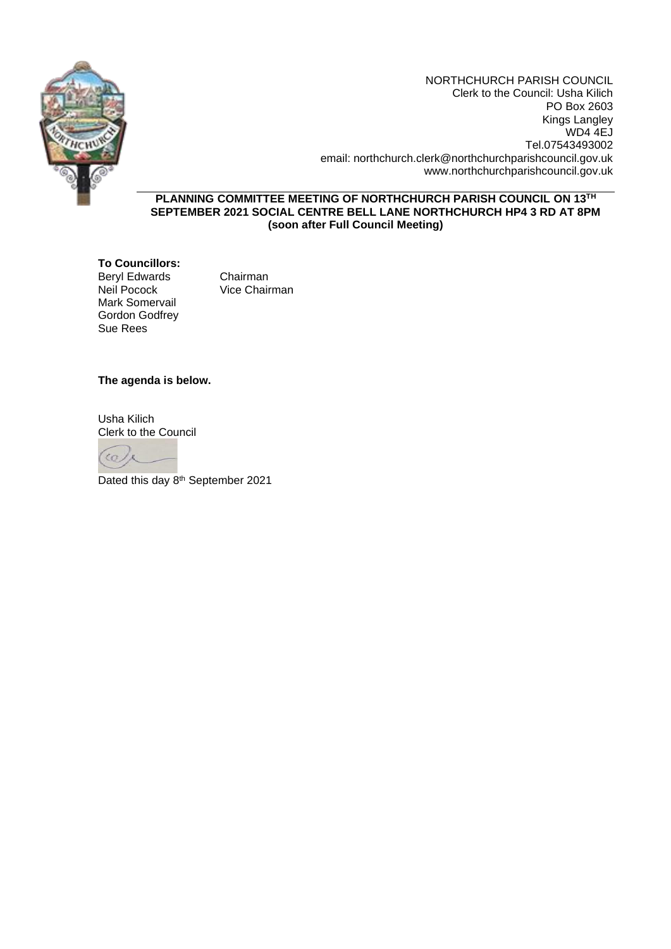

NORTHCHURCH PARISH COUNCIL Clerk to the Council: Usha Kilich PO Box 2603 Kings Langley WD4 4EJ Tel.07543493002 email: northchurch.clerk@northchurchparishcouncil.gov.uk www.northchurchparishcouncil.gov.uk

**PLANNING COMMITTEE MEETING OF NORTHCHURCH PARISH COUNCIL ON 13TH SEPTEMBER 2021 SOCIAL CENTRE BELL LANE NORTHCHURCH HP4 3 RD AT 8PM (soon after Full Council Meeting)**

**To Councillors:** Beryl Edwards Chairman<br>
Neil Pocock Vice Chair Mark Somervail Gordon Godfrey Sue Rees

Vice Chairman

# **The agenda is below.**

Usha Kilich Clerk to the Council



Dated this day 8<sup>th</sup> September 2021